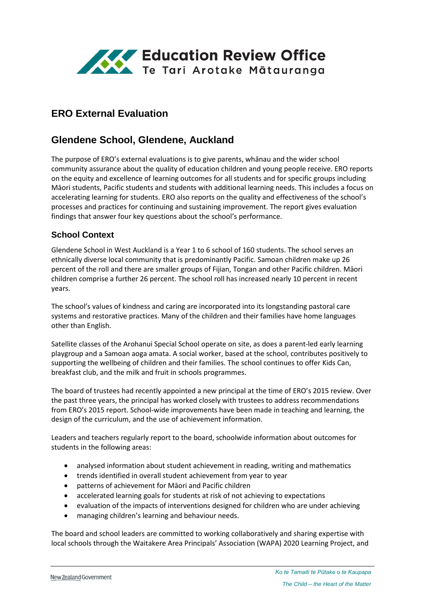

# **ERO External Evaluation**

# **Glendene School, Glendene, Auckland**

The purpose of ERO's external evaluations is to give parents, whānau and the wider school community assurance about the quality of education children and young people receive. ERO reports on the equity and excellence of learning outcomes for all students and for specific groups including Māori students, Pacific students and students with additional learning needs. This includes a focus on accelerating learning for students. ERO also reports on the quality and effectiveness of the school's processes and practices for continuing and sustaining improvement. The report gives evaluation findings that answer four key questions about the school's performance.

### **School Context**

Glendene School in West Auckland is a Year 1 to 6 school of 160 students. The school serves an ethnically diverse local community that is predominantly Pacific. Samoan children make up 26 percent of the roll and there are smaller groups of Fijian, Tongan and other Pacific children. Māori children comprise a further 26 percent. The school roll has increased nearly 10 percent in recent years.

The school's values of kindness and caring are incorporated into its longstanding pastoral care systems and restorative practices. Many of the children and their families have home languages other than English.

Satellite classes of the Arohanui Special School operate on site, as does a parent-led early learning playgroup and a Samoan aoga amata. A social worker, based at the school, contributes positively to supporting the wellbeing of children and their families. The school continues to offer Kids Can, breakfast club, and the milk and fruit in schools programmes.

The board of trustees had recently appointed a new principal at the time of ERO's 2015 review. Over the past three years, the principal has worked closely with trustees to address recommendations from ERO's 2015 report. School-wide improvements have been made in teaching and learning, the design of the curriculum, and the use of achievement information.

Leaders and teachers regularly report to the board, schoolwide information about outcomes for students in the following areas:

- analysed information about student achievement in reading, writing and mathematics
- trends identified in overall student achievement from year to year
- patterns of achievement for Māori and Pacific children
- accelerated learning goals for students at risk of not achieving to expectations
- evaluation of the impacts of interventions designed for children who are under achieving
- managing children's learning and behaviour needs.

The board and school leaders are committed to working collaboratively and sharing expertise with local schools through the Waitakere Area Principals' Association (WAPA) 2020 Learning Project, and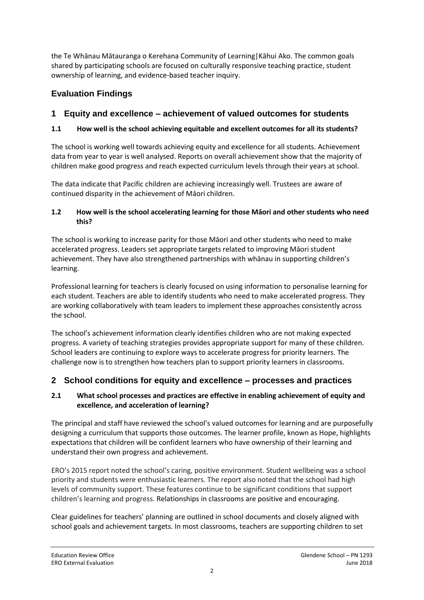the Te Whānau Mātauranga o Kerehana Community of Learning|Kāhui Ako. The common goals shared by participating schools are focused on culturally responsive teaching practice, student ownership of learning, and evidence-based teacher inquiry.

# **Evaluation Findings**

## **1 Equity and excellence – achievement of valued outcomes for students**

### **1.1 How well is the school achieving equitable and excellent outcomes for all its students?**

The school is working well towards achieving equity and excellence for all students. Achievement data from year to year is well analysed. Reports on overall achievement show that the majority of children make good progress and reach expected curriculum levels through their years at school.

The data indicate that Pacific children are achieving increasingly well. Trustees are aware of continued disparity in the achievement of Māori children.

### **1.2 How well is the school accelerating learning for those Māori and other students who need this?**

The school is working to increase parity for those Māori and other students who need to make accelerated progress. Leaders set appropriate targets related to improving Māori student achievement. They have also strengthened partnerships with whānau in supporting children's learning.

Professional learning for teachers is clearly focused on using information to personalise learning for each student. Teachers are able to identify students who need to make accelerated progress. They are working collaboratively with team leaders to implement these approaches consistently across the school.

The school's achievement information clearly identifies children who are not making expected progress. A variety of teaching strategies provides appropriate support for many of these children. School leaders are continuing to explore ways to accelerate progress for priority learners. The challenge now is to strengthen how teachers plan to support priority learners in classrooms.

## **2 School conditions for equity and excellence – processes and practices**

### **2.1 What school processes and practices are effective in enabling achievement of equity and excellence, and acceleration of learning?**

The principal and staff have reviewed the school's valued outcomes for learning and are purposefully designing a curriculum that supports those outcomes. The learner profile, known as Hope, highlights expectations that children will be confident learners who have ownership of their learning and understand their own progress and achievement.

ERO's 2015 report noted the school's caring, positive environment. Student wellbeing was a school priority and students were enthusiastic learners. The report also noted that the school had high levels of community support. These features continue to be significant conditions that support children's learning and progress. Relationships in classrooms are positive and encouraging.

Clear guidelines for teachers' planning are outlined in school documents and closely aligned with school goals and achievement targets. In most classrooms, teachers are supporting children to set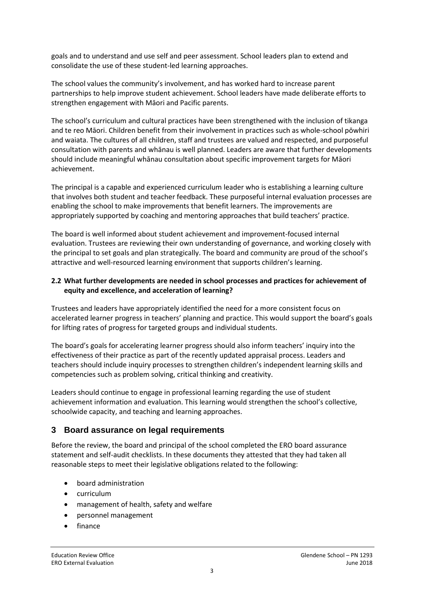goals and to understand and use self and peer assessment. School leaders plan to extend and consolidate the use of these student-led learning approaches.

The school values the community's involvement, and has worked hard to increase parent partnerships to help improve student achievement. School leaders have made deliberate efforts to strengthen engagement with Māori and Pacific parents.

The school's curriculum and cultural practices have been strengthened with the inclusion of tikanga and te reo Māori. Children benefit from their involvement in practices such as whole-school pōwhiri and waiata. The cultures of all children, staff and trustees are valued and respected, and purposeful consultation with parents and whānau is well planned. Leaders are aware that further developments should include meaningful whānau consultation about specific improvement targets for Māori achievement.

The principal is a capable and experienced curriculum leader who is establishing a learning culture that involves both student and teacher feedback. These purposeful internal evaluation processes are enabling the school to make improvements that benefit learners. The improvements are appropriately supported by coaching and mentoring approaches that build teachers' practice.

The board is well informed about student achievement and improvement-focused internal evaluation. Trustees are reviewing their own understanding of governance, and working closely with the principal to set goals and plan strategically. The board and community are proud of the school's attractive and well-resourced learning environment that supports children's learning.

### **2.2 What further developments are needed in school processes and practices for achievement of equity and excellence, and acceleration of learning?**

Trustees and leaders have appropriately identified the need for a more consistent focus on accelerated learner progress in teachers' planning and practice. This would support the board's goals for lifting rates of progress for targeted groups and individual students.

The board's goals for accelerating learner progress should also inform teachers' inquiry into the effectiveness of their practice as part of the recently updated appraisal process. Leaders and teachers should include inquiry processes to strengthen children's independent learning skills and competencies such as problem solving, critical thinking and creativity.

Leaders should continue to engage in professional learning regarding the use of student achievement information and evaluation. This learning would strengthen the school's collective, schoolwide capacity, and teaching and learning approaches.

## **3 Board assurance on legal requirements**

Before the review, the board and principal of the school completed the ERO board assurance statement and self-audit checklists. In these documents they attested that they had taken all reasonable steps to meet their legislative obligations related to the following:

- board administration
- curriculum
- management of health, safety and welfare
- personnel management
- finance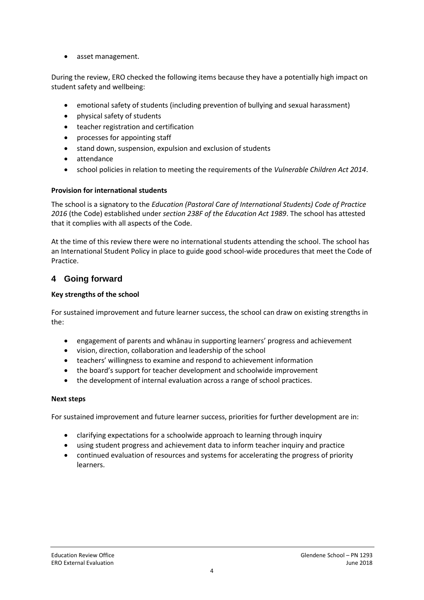• asset management.

During the review, ERO checked the following items because they have a potentially high impact on student safety and wellbeing:

- emotional safety of students (including prevention of bullying and sexual harassment)
- physical safety of students
- teacher registration and certification
- processes for appointing staff
- stand down, suspension, expulsion and exclusion of students
- attendance
- school policies in relation to meeting the requirements of the *Vulnerable Children Act 2014*.

#### **Provision for international students**

The school is a signatory to the *Education (Pastoral Care of International Students) Code of Practice 2016* (the Code) established under *section 238F of the Education Act 1989*. The school has attested that it complies with all aspects of the Code.

At the time of this review there were no international students attending the school. The school has an International Student Policy in place to guide good school-wide procedures that meet the Code of Practice.

### **4 Going forward**

#### **Key strengths of the school**

For sustained improvement and future learner success, the school can draw on existing strengths in the:

- engagement of parents and whānau in supporting learners' progress and achievement
- vision, direction, collaboration and leadership of the school
- teachers' willingness to examine and respond to achievement information
- the board's support for teacher development and schoolwide improvement
- the development of internal evaluation across a range of school practices.

#### **Next steps**

For sustained improvement and future learner success, priorities for further development are in:

- clarifying expectations for a schoolwide approach to learning through inquiry
- using student progress and achievement data to inform teacher inquiry and practice
- continued evaluation of resources and systems for accelerating the progress of priority learners.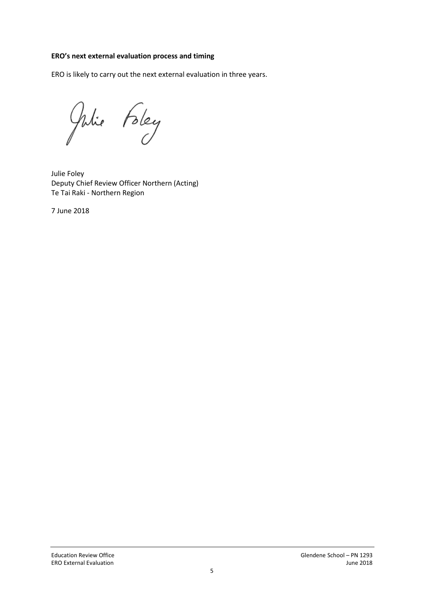#### **ERO's next external evaluation process and timing**

ERO is likely to carry out the next external evaluation in three years.

Julie Foley

Julie Foley Deputy Chief Review Officer Northern (Acting) Te Tai Raki - Northern Region

7 June 2018